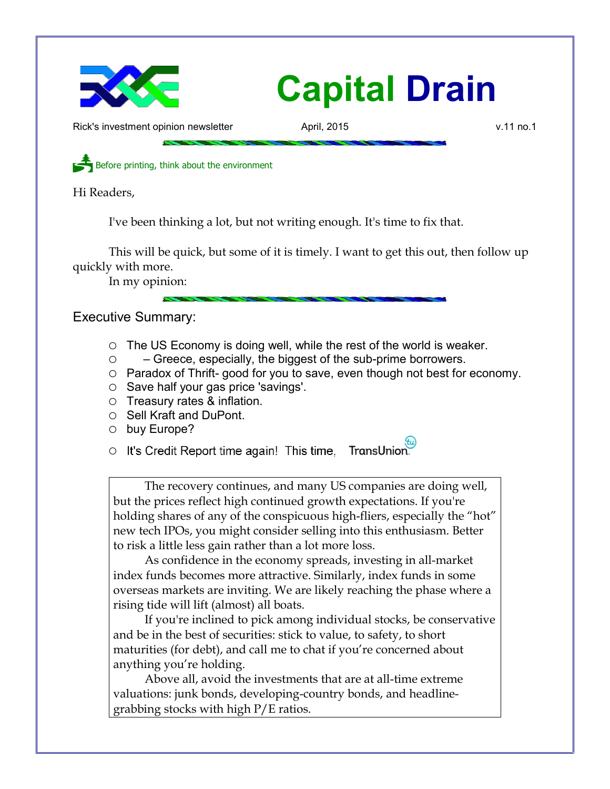

## Capital Drain

Rick's investment opinion newsletter **April, 2015** v.11 no.1

Before printing, think about the environment

Hi Readers,

I've been thinking a lot, but not writing enough. It's time to fix that.

This will be quick, but some of it is timely. I want to get this out, then follow up quickly with more.

In my opinion:

Executive Summary:

- $\circ$  The US Economy is doing well, while the rest of the world is weaker.
- – Greece, especially, the biggest of the sub-prime borrowers.
- Paradox of Thrift- good for you to save, even though not best for economy.
- Save half your gas price 'savings'.
- Treasury rates & inflation.
- Sell Kraft and DuPont.
- buy Europe?

o It's Credit Report time again! This time, TransUnion.

The recovery continues, and many US companies are doing well, but the prices reflect high continued growth expectations. If you're holding shares of any of the conspicuous high-fliers, especially the "hot" new tech IPOs, you might consider selling into this enthusiasm. Better to risk a little less gain rather than a lot more loss.

As confidence in the economy spreads, investing in all-market index funds becomes more attractive. Similarly, index funds in some overseas markets are inviting. We are likely reaching the phase where a rising tide will lift (almost) all boats.

If you're inclined to pick among individual stocks, be conservative and be in the best of securities: stick to value, to safety, to short maturities (for debt), and call me to chat if you're concerned about anything you're holding.

Above all, avoid the investments that are at all-time extreme valuations: junk bonds, developing-country bonds, and headlinegrabbing stocks with high P/E ratios.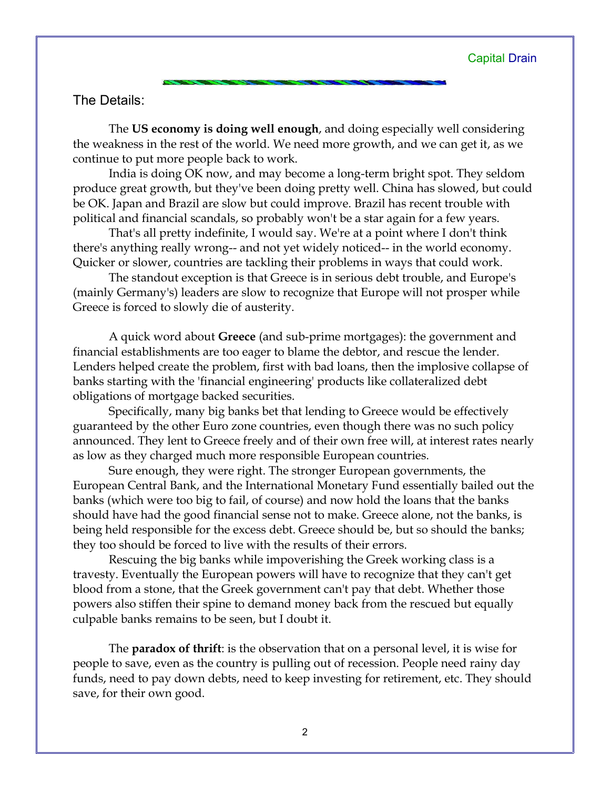## The Details:

The US economy is doing well enough, and doing especially well considering the weakness in the rest of the world. We need more growth, and we can get it, as we continue to put more people back to work.

India is doing OK now, and may become a long-term bright spot. They seldom produce great growth, but they've been doing pretty well. China has slowed, but could be OK. Japan and Brazil are slow but could improve. Brazil has recent trouble with political and financial scandals, so probably won't be a star again for a few years.

That's all pretty indefinite, I would say. We're at a point where I don't think there's anything really wrong-- and not yet widely noticed-- in the world economy. Quicker or slower, countries are tackling their problems in ways that could work.

The standout exception is that Greece is in serious debt trouble, and Europe's (mainly Germany's) leaders are slow to recognize that Europe will not prosper while Greece is forced to slowly die of austerity.

A quick word about Greece (and sub-prime mortgages): the government and financial establishments are too eager to blame the debtor, and rescue the lender. Lenders helped create the problem, first with bad loans, then the implosive collapse of banks starting with the 'financial engineering' products like collateralized debt obligations of mortgage backed securities.

Specifically, many big banks bet that lending to Greece would be effectively guaranteed by the other Euro zone countries, even though there was no such policy announced. They lent to Greece freely and of their own free will, at interest rates nearly as low as they charged much more responsible European countries.

Sure enough, they were right. The stronger European governments, the European Central Bank, and the International Monetary Fund essentially bailed out the banks (which were too big to fail, of course) and now hold the loans that the banks should have had the good financial sense not to make. Greece alone, not the banks, is being held responsible for the excess debt. Greece should be, but so should the banks; they too should be forced to live with the results of their errors.

Rescuing the big banks while impoverishing the Greek working class is a travesty. Eventually the European powers will have to recognize that they can't get blood from a stone, that the Greek government can't pay that debt. Whether those powers also stiffen their spine to demand money back from the rescued but equally culpable banks remains to be seen, but I doubt it.

The **paradox of thrift**: is the observation that on a personal level, it is wise for people to save, even as the country is pulling out of recession. People need rainy day funds, need to pay down debts, need to keep investing for retirement, etc. They should save, for their own good.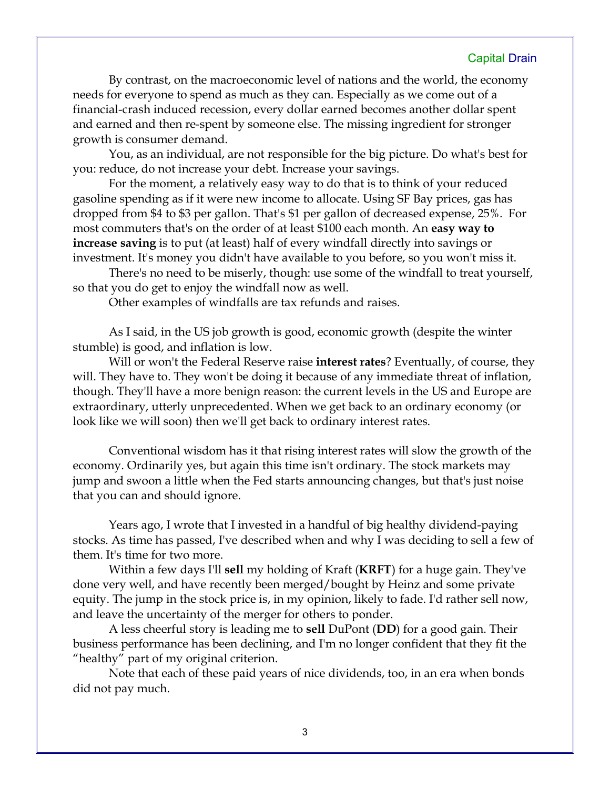## Capital Drain

By contrast, on the macroeconomic level of nations and the world, the economy needs for everyone to spend as much as they can. Especially as we come out of a financial-crash induced recession, every dollar earned becomes another dollar spent and earned and then re-spent by someone else. The missing ingredient for stronger growth is consumer demand.

You, as an individual, are not responsible for the big picture. Do what's best for you: reduce, do not increase your debt. Increase your savings.

For the moment, a relatively easy way to do that is to think of your reduced gasoline spending as if it were new income to allocate. Using SF Bay prices, gas has dropped from \$4 to \$3 per gallon. That's \$1 per gallon of decreased expense, 25%. For most commuters that's on the order of at least \$100 each month. An easy way to increase saving is to put (at least) half of every windfall directly into savings or investment. It's money you didn't have available to you before, so you won't miss it.

There's no need to be miserly, though: use some of the windfall to treat yourself, so that you do get to enjoy the windfall now as well.

Other examples of windfalls are tax refunds and raises.

As I said, in the US job growth is good, economic growth (despite the winter stumble) is good, and inflation is low.

Will or won't the Federal Reserve raise **interest rates**? Eventually, of course, they will. They have to. They won't be doing it because of any immediate threat of inflation, though. They'll have a more benign reason: the current levels in the US and Europe are extraordinary, utterly unprecedented. When we get back to an ordinary economy (or look like we will soon) then we'll get back to ordinary interest rates.

Conventional wisdom has it that rising interest rates will slow the growth of the economy. Ordinarily yes, but again this time isn't ordinary. The stock markets may jump and swoon a little when the Fed starts announcing changes, but that's just noise that you can and should ignore.

Years ago, I wrote that I invested in a handful of big healthy dividend-paying stocks. As time has passed, I've described when and why I was deciding to sell a few of them. It's time for two more.

Within a few days I'll **sell** my holding of Kraft (**KRFT**) for a huge gain. They've done very well, and have recently been merged/bought by Heinz and some private equity. The jump in the stock price is, in my opinion, likely to fade. I'd rather sell now, and leave the uncertainty of the merger for others to ponder.

A less cheerful story is leading me to sell DuPont (DD) for a good gain. Their business performance has been declining, and I'm no longer confident that they fit the "healthy" part of my original criterion.

Note that each of these paid years of nice dividends, too, in an era when bonds did not pay much.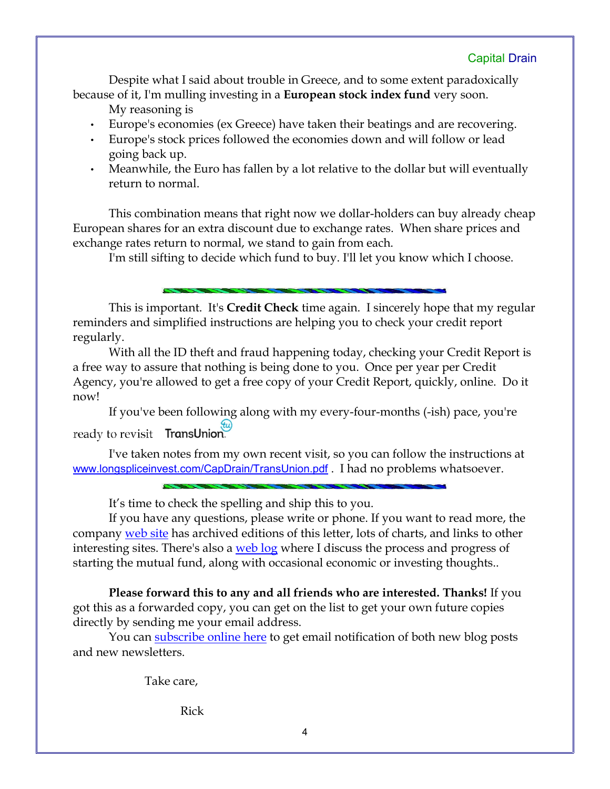Despite what I said about trouble in Greece, and to some extent paradoxically because of it, I'm mulling investing in a **European stock index fund** very soon.

My reasoning is

- Europe's economies (ex Greece) have taken their beatings and are recovering.
- Europe's stock prices followed the economies down and will follow or lead going back up.
- Meanwhile, the Euro has fallen by a lot relative to the dollar but will eventually return to normal.

This combination means that right now we dollar-holders can buy already cheap European shares for an extra discount due to exchange rates. When share prices and exchange rates return to normal, we stand to gain from each.

I'm still sifting to decide which fund to buy. I'll let you know which I choose.

This is important. It's Credit Check time again. I sincerely hope that my regular reminders and simplified instructions are helping you to check your credit report regularly.

With all the ID theft and fraud happening today, checking your Credit Report is a free way to assure that nothing is being done to you. Once per year per Credit Agency, you're allowed to get a free copy of your Credit Report, quickly, online. Do it now!

If you've been following along with my every-four-months (-ish) pace, you're ready to revisit TransUnion.

I've taken notes from my own recent visit, so you can follow the instructions at www.longspliceinvest.com/CapDrain/TransUnion.pdf . I had no problems whatsoever.

It's time to check the spelling and ship this to you.

If you have any questions, please write or phone. If you want to read more, the company web site has archived editions of this letter, lots of charts, and links to other interesting sites. There's also a web log where I discuss the process and progress of starting the mutual fund, along with occasional economic or investing thoughts..

Please forward this to any and all friends who are interested. Thanks! If you got this as a forwarded copy, you can get on the list to get your own future copies directly by sending me your email address.

You can subscribe online here to get email notification of both new blog posts and new newsletters.

Take care,

Rick